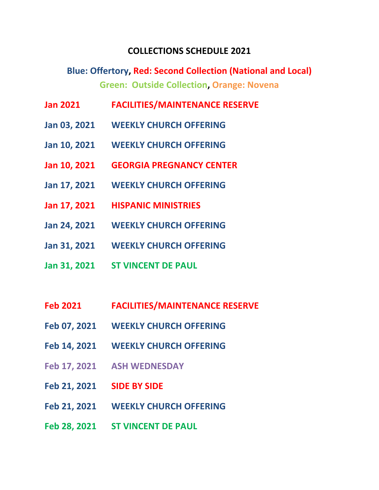## **COLLECTIONS SCHEDULE 2021**

**Blue: Offertory, Red: Second Collection (National and Local) Green: Outside Collection, Orange: Novena**

- **Jan 2021 FACILITIES/MAINTENANCE RESERVE**
- **Jan 03, 2021 WEEKLY CHURCH OFFERING**
- **Jan 10, 2021 WEEKLY CHURCH OFFERING**
- **Jan 10, 2021 GEORGIA PREGNANCY CENTER**
- **Jan 17, 2021 WEEKLY CHURCH OFFERING**
- **Jan 17, 2021 HISPANIC MINISTRIES**
- **Jan 24, 2021 WEEKLY CHURCH OFFERING**
- **Jan 31, 2021 WEEKLY CHURCH OFFERING**
- **Jan 31, 2021 ST VINCENT DE PAUL**
- **Feb 2021 FACILITIES/MAINTENANCE RESERVE**
- **Feb 07, 2021 WEEKLY CHURCH OFFERING**
- **Feb 14, 2021 WEEKLY CHURCH OFFERING**
- **Feb 17, 2021 ASH WEDNESDAY**
- **Feb 21, 2021 SIDE BY SIDE**
- **Feb 21, 2021 WEEKLY CHURCH OFFERING**
- **Feb 28, 2021 ST VINCENT DE PAUL**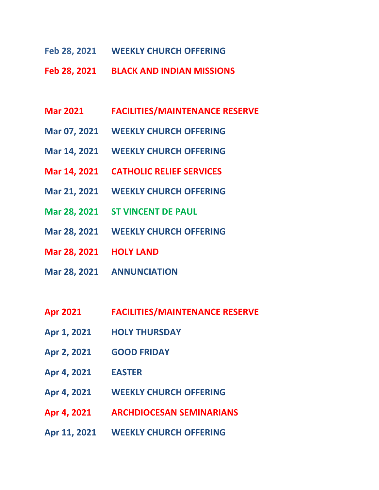- **Feb 28, 2021 WEEKLY CHURCH OFFERING**
- **Feb 28, 2021 BLACK AND INDIAN MISSIONS**
- **Mar 2021 FACILITIES/MAINTENANCE RESERVE**
- **Mar 07, 2021 WEEKLY CHURCH OFFERING**
- **Mar 14, 2021 WEEKLY CHURCH OFFERING**
- **Mar 14, 2021 CATHOLIC RELIEF SERVICES**
- **Mar 21, 2021 WEEKLY CHURCH OFFERING**
- **Mar 28, 2021 ST VINCENT DE PAUL**
- **Mar 28, 2021 WEEKLY CHURCH OFFERING**
- **Mar 28, 2021 HOLY LAND**
- **Mar 28, 2021 ANNUNCIATION**
- **Apr 2021 FACILITIES/MAINTENANCE RESERVE**
- **Apr 1, 2021 HOLY THURSDAY**
- **Apr 2, 2021 GOOD FRIDAY**
- **Apr 4, 2021 EASTER**
- **Apr 4, 2021 WEEKLY CHURCH OFFERING**
- **Apr 4, 2021 ARCHDIOCESAN SEMINARIANS**
- **Apr 11, 2021 WEEKLY CHURCH OFFERING**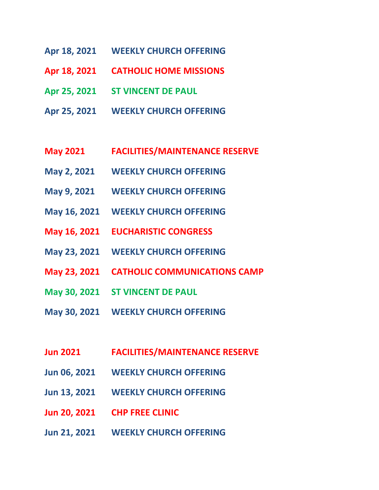- **Apr 18, 2021 WEEKLY CHURCH OFFERING**
- **Apr 18, 2021 CATHOLIC HOME MISSIONS**
- **Apr 25, 2021 ST VINCENT DE PAUL**
- **Apr 25, 2021 WEEKLY CHURCH OFFERING**
- **May 2021 FACILITIES/MAINTENANCE RESERVE**
- **May 2, 2021 WEEKLY CHURCH OFFERING**
- **May 9, 2021 WEEKLY CHURCH OFFERING**
- **May 16, 2021 WEEKLY CHURCH OFFERING**
- **May 16, 2021 EUCHARISTIC CONGRESS**
- **May 23, 2021 WEEKLY CHURCH OFFERING**
- **May 23, 2021 CATHOLIC COMMUNICATIONS CAMP**
- **May 30, 2021 ST VINCENT DE PAUL**
- **May 30, 2021 WEEKLY CHURCH OFFERING**
- **Jun 2021 FACILITIES/MAINTENANCE RESERVE**
- **Jun 06, 2021 WEEKLY CHURCH OFFERING**
- **Jun 13, 2021 WEEKLY CHURCH OFFERING**
- **Jun 20, 2021 CHP FREE CLINIC**
- **Jun 21, 2021 WEEKLY CHURCH OFFERING**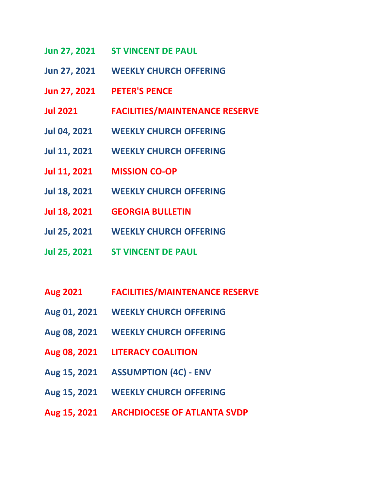- **Jun 27, 2021 ST VINCENT DE PAUL**
- **Jun 27, 2021 WEEKLY CHURCH OFFERING**
- **Jun 27, 2021 PETER'S PENCE**
- **Jul 2021 FACILITIES/MAINTENANCE RESERVE**
- **Jul 04, 2021 WEEKLY CHURCH OFFERING**
- **Jul 11, 2021 WEEKLY CHURCH OFFERING**
- **Jul 11, 2021 MISSION CO-OP**
- **Jul 18, 2021 WEEKLY CHURCH OFFERING**
- **Jul 18, 2021 GEORGIA BULLETIN**
- **Jul 25, 2021 WEEKLY CHURCH OFFERING**
- **Jul 25, 2021 ST VINCENT DE PAUL**
- **Aug 2021 FACILITIES/MAINTENANCE RESERVE**
- **Aug 01, 2021 WEEKLY CHURCH OFFERING**
- **Aug 08, 2021 WEEKLY CHURCH OFFERING**
- **Aug 08, 2021 LITERACY COALITION**
- **Aug 15, 2021 ASSUMPTION (4C) - ENV**
- **Aug 15, 2021 WEEKLY CHURCH OFFERING**
- **Aug 15, 2021 ARCHDIOCESE OF ATLANTA SVDP**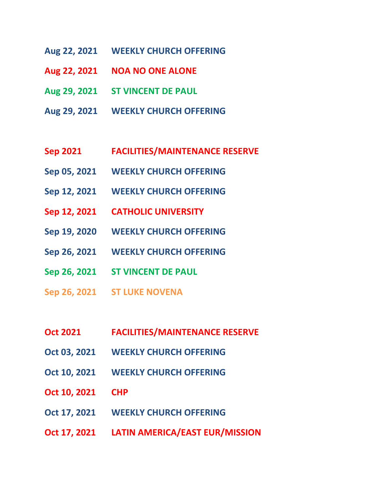- **Aug 22, 2021 WEEKLY CHURCH OFFERING**
- **Aug 22, 2021 NOA NO ONE ALONE**
- **Aug 29, 2021 ST VINCENT DE PAUL**
- **Aug 29, 2021 WEEKLY CHURCH OFFERING**
- **Sep 2021 FACILITIES/MAINTENANCE RESERVE**
- **Sep 05, 2021 WEEKLY CHURCH OFFERING**
- **Sep 12, 2021 WEEKLY CHURCH OFFERING**
- **Sep 12, 2021 CATHOLIC UNIVERSITY**
- **Sep 19, 2020 WEEKLY CHURCH OFFERING**
- **Sep 26, 2021 WEEKLY CHURCH OFFERING**
- **Sep 26, 2021 ST VINCENT DE PAUL**
- **Sep 26, 2021 ST LUKE NOVENA**
- **Oct 2021 FACILITIES/MAINTENANCE RESERVE**
- **Oct 03, 2021 WEEKLY CHURCH OFFERING**
- **Oct 10, 2021 WEEKLY CHURCH OFFERING**
- **Oct 10, 2021 CHP**
- **Oct 17, 2021 WEEKLY CHURCH OFFERING**
- **Oct 17, 2021 LATIN AMERICA/EAST EUR/MISSION**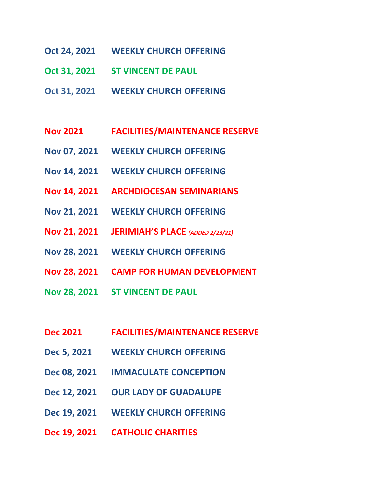- **Oct 24, 2021 WEEKLY CHURCH OFFERING**
- **Oct 31, 2021 ST VINCENT DE PAUL**
- **Oct 31, 2021 WEEKLY CHURCH OFFERING**
- **Nov 2021 FACILITIES/MAINTENANCE RESERVE**
- **Nov 07, 2021 WEEKLY CHURCH OFFERING**
- **Nov 14, 2021 WEEKLY CHURCH OFFERING**
- **Nov 14, 2021 ARCHDIOCESAN SEMINARIANS**
- **Nov 21, 2021 WEEKLY CHURCH OFFERING**
- **Nov 21, 2021 JERIMIAH'S PLACE** *(ADDED 2/23/21)*
- **Nov 28, 2021 WEEKLY CHURCH OFFERING**
- **Nov 28, 2021 CAMP FOR HUMAN DEVELOPMENT**
- **Nov 28, 2021 ST VINCENT DE PAUL**
- **Dec 2021 FACILITIES/MAINTENANCE RESERVE**
- **Dec 5, 2021 WEEKLY CHURCH OFFERING**
- **Dec 08, 2021 IMMACULATE CONCEPTION**
- **Dec 12, 2021 OUR LADY OF GUADALUPE**
- **Dec 19, 2021 WEEKLY CHURCH OFFERING**
- **Dec 19, 2021 CATHOLIC CHARITIES**